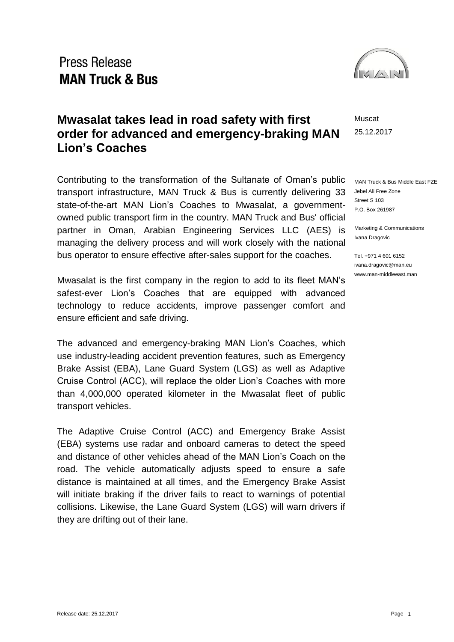### **Press Release MAN Truck & Bus**



Muscat 25.12.2017

MAN Truck & Bus Middle East FZE Jebel Ali Free Zone Street S 103 P.O. Box 261987

Marketing & Communications Ivana Dragovic

Tel. +971 4 601 6152 ivana.dragovic@man.eu www.man-middleeast.man

#### **Mwasalat takes lead in road safety with first order for advanced and emergency-braking MAN Lion's Coaches**

Contributing to the transformation of the Sultanate of Oman's public transport infrastructure, MAN Truck & Bus is currently delivering 33 state-of-the-art MAN Lion's Coaches to Mwasalat, a governmentowned public transport firm in the country. MAN Truck and Bus' official partner in Oman, Arabian Engineering Services LLC (AES) is managing the delivery process and will work closely with the national bus operator to ensure effective after-sales support for the coaches.

Mwasalat is the first company in the region to add to its fleet MAN's safest-ever Lion's Coaches that are equipped with advanced technology to reduce accidents, improve passenger comfort and ensure efficient and safe driving.

The advanced and emergency-braking MAN Lion's Coaches, which use industry-leading accident prevention features, such as Emergency Brake Assist (EBA), Lane Guard System (LGS) as well as Adaptive Cruise Control (ACC), will replace the older Lion's Coaches with more than 4,000,000 operated kilometer in the Mwasalat fleet of public transport vehicles.

The Adaptive Cruise Control (ACC) and Emergency Brake Assist (EBA) systems use radar and onboard cameras to detect the speed and distance of other vehicles ahead of the MAN Lion's Coach on the road. The vehicle automatically adjusts speed to ensure a safe distance is maintained at all times, and the Emergency Brake Assist will initiate braking if the driver fails to react to warnings of potential collisions. Likewise, the Lane Guard System (LGS) will warn drivers if they are drifting out of their lane.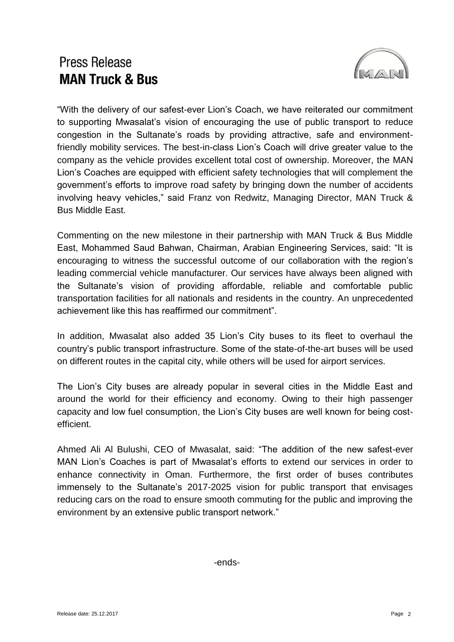# **Press Release MAN Truck & Bus**



"With the delivery of our safest-ever Lion's Coach, we have reiterated our commitment to supporting Mwasalat's vision of encouraging the use of public transport to reduce congestion in the Sultanate's roads by providing attractive, safe and environmentfriendly mobility services. The best-in-class Lion's Coach will drive greater value to the company as the vehicle provides excellent total cost of ownership. Moreover, the MAN Lion's Coaches are equipped with efficient safety technologies that will complement the government's efforts to improve road safety by bringing down the number of accidents involving heavy vehicles," said Franz von Redwitz, Managing Director, MAN Truck & Bus Middle East.

Commenting on the new milestone in their partnership with MAN Truck & Bus Middle East, Mohammed Saud Bahwan, Chairman, Arabian Engineering Services, said: "It is encouraging to witness the successful outcome of our collaboration with the region's leading commercial vehicle manufacturer. Our services have always been aligned with the Sultanate's vision of providing affordable, reliable and comfortable public transportation facilities for all nationals and residents in the country. An unprecedented achievement like this has reaffirmed our commitment".

In addition, Mwasalat also added 35 Lion's City buses to its fleet to overhaul the country's public transport infrastructure. Some of the state-of-the-art buses will be used on different routes in the capital city, while others will be used for airport services.

The Lion's City buses are already popular in several cities in the Middle East and around the world for their efficiency and economy. Owing to their high passenger capacity and low fuel consumption, the Lion's City buses are well known for being costefficient.

Ahmed Ali Al Bulushi, CEO of Mwasalat, said: "The addition of the new safest-ever MAN Lion's Coaches is part of Mwasalat's efforts to extend our services in order to enhance connectivity in Oman. Furthermore, the first order of buses contributes immensely to the Sultanate's 2017-2025 vision for public transport that envisages reducing cars on the road to ensure smooth commuting for the public and improving the environment by an extensive public transport network."